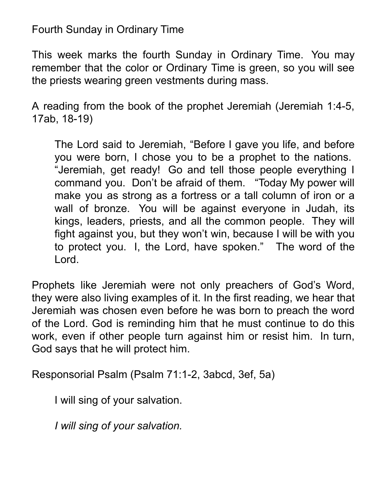## Fourth Sunday in Ordinary Time

This week marks the fourth Sunday in Ordinary Time. You may remember that the color or Ordinary Time is green, so you will see the priests wearing green vestments during mass.

A reading from the book of the prophet Jeremiah (Jeremiah 1:4-5, 17ab, 18-19)

The Lord said to Jeremiah, "Before I gave you life, and before you were born, I chose you to be a prophet to the nations. "Jeremiah, get ready! Go and tell those people everything I command you. Don't be afraid of them. "Today My power will make you as strong as a fortress or a tall column of iron or a wall of bronze. You will be against everyone in Judah, its kings, leaders, priests, and all the common people. They will fight against you, but they won't win, because I will be with you to protect you. I, the Lord, have spoken." The word of the Lord.

Prophets like Jeremiah were not only preachers of God's Word, they were also living examples of it. In the first reading, we hear that Jeremiah was chosen even before he was born to preach the word of the Lord. God is reminding him that he must continue to do this work, even if other people turn against him or resist him. In turn, God says that he will protect him.

Responsorial Psalm (Psalm 71:1-2, 3abcd, 3ef, 5a)

I will sing of your salvation.

*I will sing of your salvation.*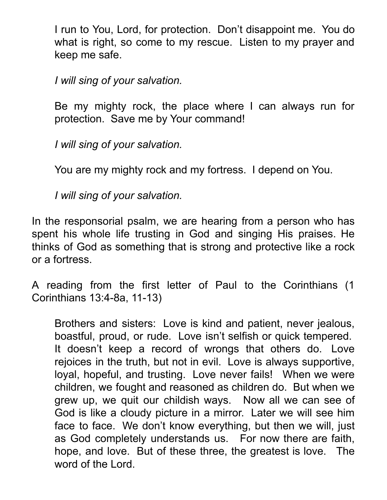I run to You, Lord, for protection. Don't disappoint me. You do what is right, so come to my rescue. Listen to my prayer and keep me safe.

*I will sing of your salvation.*

Be my mighty rock, the place where I can always run for protection. Save me by Your command!

*I will sing of your salvation.*

You are my mighty rock and my fortress. I depend on You.

*I will sing of your salvation.*

In the responsorial psalm, we are hearing from a person who has spent his whole life trusting in God and singing His praises. He thinks of God as something that is strong and protective like a rock or a fortress.

A reading from the first letter of Paul to the Corinthians (1 Corinthians 13:4-8a, 11-13)

Brothers and sisters: Love is kind and patient, never jealous, boastful, proud, or rude. Love isn't selfish or quick tempered. It doesn't keep a record of wrongs that others do. Love rejoices in the truth, but not in evil. Love is always supportive, loyal, hopeful, and trusting. Love never fails! When we were children, we fought and reasoned as children do. But when we grew up, we quit our childish ways. Now all we can see of God is like a cloudy picture in a mirror. Later we will see him face to face. We don't know everything, but then we will, just as God completely understands us. For now there are faith, hope, and love. But of these three, the greatest is love. The word of the Lord.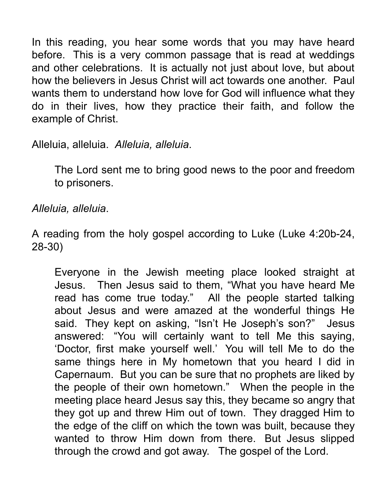In this reading, you hear some words that you may have heard before. This is a very common passage that is read at weddings and other celebrations. It is actually not just about love, but about how the believers in Jesus Christ will act towards one another. Paul wants them to understand how love for God will influence what they do in their lives, how they practice their faith, and follow the example of Christ.

Alleluia, alleluia. *Alleluia, alleluia*.

The Lord sent me to bring good news to the poor and freedom to prisoners.

*Alleluia, alleluia*.

A reading from the holy gospel according to Luke (Luke 4:20b-24, 28-30)

Everyone in the Jewish meeting place looked straight at Jesus. Then Jesus said to them, "What you have heard Me read has come true today." All the people started talking about Jesus and were amazed at the wonderful things He said. They kept on asking, "Isn't He Joseph's son?" Jesus answered: "You will certainly want to tell Me this saying, 'Doctor, first make yourself well.' You will tell Me to do the same things here in My hometown that you heard I did in Capernaum. But you can be sure that no prophets are liked by the people of their own hometown." When the people in the meeting place heard Jesus say this, they became so angry that they got up and threw Him out of town. They dragged Him to the edge of the cliff on which the town was built, because they wanted to throw Him down from there. But Jesus slipped through the crowd and got away. The gospel of the Lord.